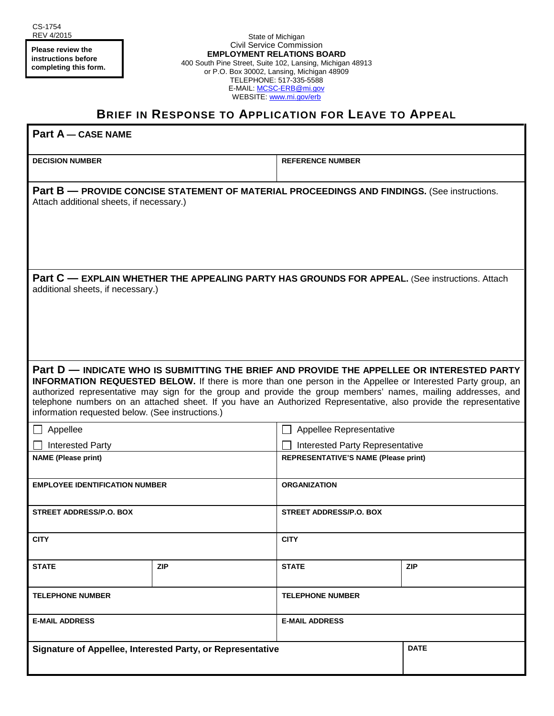**Please review the instructions before completing this form.**

State of Michigan Civil Service Commission **EMPLOYMENT RELATIONS BOARD** 400 South Pine Street, Suite 102, Lansing, Michigan 48913 or P.O. Box 30002, Lansing, Michigan 48909 TELEPHONE: 517-335-5588 E-MAIL: MCSC-ERB@mi.gov WEBSITE: www.mi.gov/erb

## **BRIEF IN RESPONSE TO APPLICATION FOR LEAVE TO APPEAL**

| <b>Part A - CASE NAME</b>                                                                                                                                                                                                                                                                                                                                                                                                                                                                                  |            |                                             |             |
|------------------------------------------------------------------------------------------------------------------------------------------------------------------------------------------------------------------------------------------------------------------------------------------------------------------------------------------------------------------------------------------------------------------------------------------------------------------------------------------------------------|------------|---------------------------------------------|-------------|
| <b>DECISION NUMBER</b>                                                                                                                                                                                                                                                                                                                                                                                                                                                                                     |            | <b>REFERENCE NUMBER</b>                     |             |
| Part B - PROVIDE CONCISE STATEMENT OF MATERIAL PROCEEDINGS AND FINDINGS. (See instructions.<br>Attach additional sheets, if necessary.)                                                                                                                                                                                                                                                                                                                                                                    |            |                                             |             |
| Part C - EXPLAIN WHETHER THE APPEALING PARTY HAS GROUNDS FOR APPEAL. (See instructions. Attach<br>additional sheets, if necessary.)                                                                                                                                                                                                                                                                                                                                                                        |            |                                             |             |
| Part D — INDICATE WHO IS SUBMITTING THE BRIEF AND PROVIDE THE APPELLEE OR INTERESTED PARTY<br><b>INFORMATION REQUESTED BELOW.</b> If there is more than one person in the Appellee or Interested Party group, an<br>authorized representative may sign for the group and provide the group members' names, mailing addresses, and<br>telephone numbers on an attached sheet. If you have an Authorized Representative, also provide the representative<br>information requested below. (See instructions.) |            |                                             |             |
| $\Box$ Appellee                                                                                                                                                                                                                                                                                                                                                                                                                                                                                            |            | Appellee Representative<br>$\Box$           |             |
| <b>Interested Party</b>                                                                                                                                                                                                                                                                                                                                                                                                                                                                                    |            | <b>Interested Party Representative</b>      |             |
| <b>NAME</b> (Please print)                                                                                                                                                                                                                                                                                                                                                                                                                                                                                 |            | <b>REPRESENTATIVE'S NAME (Please print)</b> |             |
| <b>EMPLOYEE IDENTIFICATION NUMBER</b>                                                                                                                                                                                                                                                                                                                                                                                                                                                                      |            | <b>ORGANIZATION</b>                         |             |
| <b>STREET ADDRESS/P.O. BOX</b>                                                                                                                                                                                                                                                                                                                                                                                                                                                                             |            | STREET ADDRESS/P.O. BOX                     |             |
| <b>CITY</b>                                                                                                                                                                                                                                                                                                                                                                                                                                                                                                |            | <b>CITY</b>                                 |             |
| <b>STATE</b>                                                                                                                                                                                                                                                                                                                                                                                                                                                                                               | <b>ZIP</b> | <b>STATE</b>                                | <b>ZIP</b>  |
| <b>TELEPHONE NUMBER</b>                                                                                                                                                                                                                                                                                                                                                                                                                                                                                    |            | <b>TELEPHONE NUMBER</b>                     |             |
| <b>E-MAIL ADDRESS</b>                                                                                                                                                                                                                                                                                                                                                                                                                                                                                      |            | <b>E-MAIL ADDRESS</b>                       |             |
| Signature of Appellee, Interested Party, or Representative                                                                                                                                                                                                                                                                                                                                                                                                                                                 |            |                                             | <b>DATE</b> |